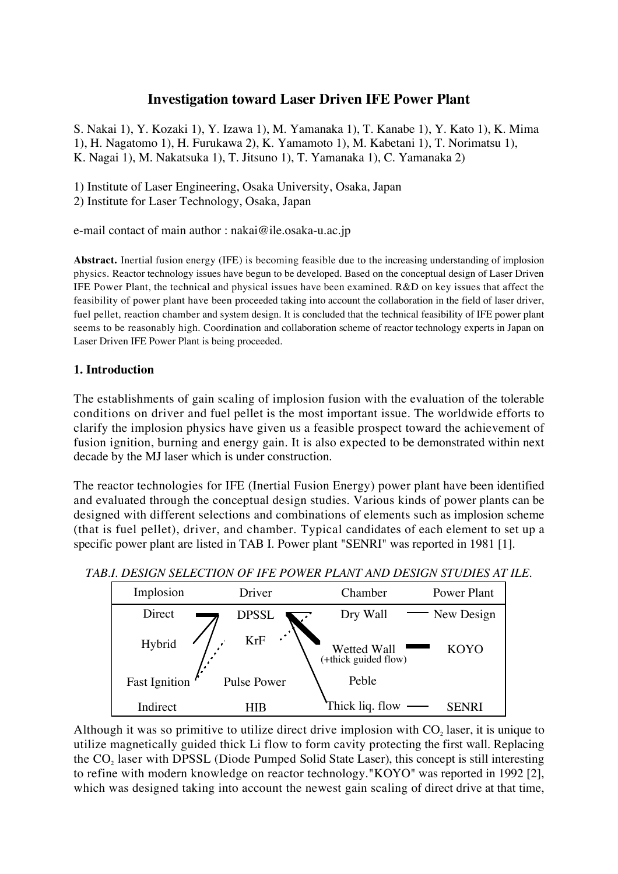# **Investigation toward Laser Driven IFE Power Plant**

S. Nakai 1), Y. Kozaki 1), Y. Izawa 1), M. Yamanaka 1), T. Kanabe 1), Y. Kato 1), K. Mima 1), H. Nagatomo 1), H. Furukawa 2), K. Yamamoto 1), M. Kabetani 1), T. Norimatsu 1), K. Nagai 1), M. Nakatsuka 1), T. Jitsuno 1), T. Yamanaka 1), C. Yamanaka 2)

1) Institute of Laser Engineering, Osaka University, Osaka, Japan

2) Institute for Laser Technology, Osaka, Japan

e-mail contact of main author : nakai@ile.osaka-u.ac.jp

**Abstract.** Inertial fusion energy (IFE) is becoming feasible due to the increasing understanding of implosion physics. Reactor technology issues have begun to be developed. Based on the conceptual design of Laser Driven IFE Power Plant, the technical and physical issues have been examined. R&D on key issues that affect the feasibility of power plant have been proceeded taking into account the collaboration in the field of laser driver, fuel pellet, reaction chamber and system design. It is concluded that the technical feasibility of IFE power plant seems to be reasonably high. Coordination and collaboration scheme of reactor technology experts in Japan on Laser Driven IFE Power Plant is being proceeded.

## **1. Introduction**

The establishments of gain scaling of implosion fusion with the evaluation of the tolerable conditions on driver and fuel pellet is the most important issue. The worldwide efforts to clarify the implosion physics have given us a feasible prospect toward the achievement of fusion ignition, burning and energy gain. It is also expected to be demonstrated within next decade by the MJ laser which is under construction.

The reactor technologies for IFE (Inertial Fusion Energy) power plant have been identified and evaluated through the conceptual design studies. Various kinds of power plants can be designed with different selections and combinations of elements such as implosion scheme (that is fuel pellet), driver, and chamber. Typical candidates of each element to set up a specific power plant are listed in TAB I. Power plant "SENRI" was reported in 1981 [1].





Although it was so primitive to utilize direct drive implosion with  $CO<sub>2</sub>$  laser, it is unique to utilize magnetically guided thick Li flow to form cavity protecting the first wall. Replacing the CO<sub>2</sub> laser with DPSSL (Diode Pumped Solid State Laser), this concept is still interesting to refine with modern knowledge on reactor technology."KOYO" was reported in 1992 [2], which was designed taking into account the newest gain scaling of direct drive at that time,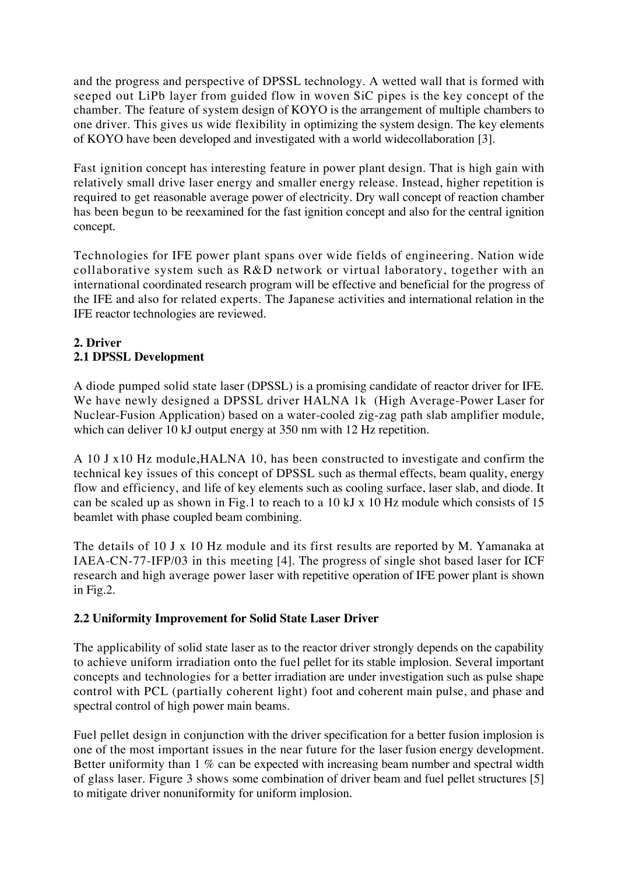and the progress and perspective of DPSSL technology. A wetted wall that is formed with seeped out LiPb layer from guided flow in woven SiC pipes is the key concept of the chamber. The feature of system design of KOYO is the arrangement of multiple chambers to one driver. This gives us wide flexibility in optimizing the system design. The key elements of KOYO have been developed and investigated with a world widecollaboration [3].

Fast ignition concept has interesting feature in power plant design. That is high gain with relatively small drive laser energy and smaller energy release. Instead, higher repetition is required to get reasonable average power of electricity. Dry wall concept of reaction chamber has been begun to be reexamined for the fast ignition concept and also for the central ignition concept.

Technologies for IFE power plant spans over wide fields of engineering. Nation wide collaborative system such as R&D network or virtual laboratory, together with an international coordinated research program will be effective and beneficial for the progress of the IFE and also for related experts. The Japanese activities and international relation in the IFE reactor technologies are reviewed.

## **2. Driver 2.1 DPSSL Development**

A diode pumped solid state laser (DPSSL) is a promising candidate of reactor driver for IFE. We have newly designed a DPSSL driver HALNA 1k (High Average-Power Laser for Nuclear-Fusion Application) based on a water-cooled zig-zag path slab amplifier module, which can deliver 10 kJ output energy at 350 nm with 12 Hz repetition.

A 10 J x10 Hz module,HALNA 10, has been constructed to investigate and confirm the technical key issues of this concept of DPSSL such as thermal effects, beam quality, energy flow and efficiency, and life of key elements such as cooling surface, laser slab, and diode. It can be scaled up as shown in Fig.1 to reach to a 10 kJ x 10 Hz module which consists of 15 beamlet with phase coupled beam combining.

The details of 10 J x 10 Hz module and its first results are reported by M. Yamanaka at IAEA-CN-77-IFP/03 in this meeting [4]. The progress of single shot based laser for ICF research and high average power laser with repetitive operation of IFE power plant is shown in Fig.2.

## **2.2 Uniformity Improvement for Solid State Laser Driver**

The applicability of solid state laser as to the reactor driver strongly depends on the capability to achieve uniform irradiation onto the fuel pellet for its stable implosion. Several important concepts and technologies for a better irradiation are under investigation such as pulse shape control with PCL (partially coherent light) foot and coherent main pulse, and phase and spectral control of high power main beams.

Fuel pellet design in conjunction with the driver specification for a better fusion implosion is one of the most important issues in the near future for the laser fusion energy development. Better uniformity than 1 % can be expected with increasing beam number and spectral width of glass laser. Figure 3 shows some combination of driver beam and fuel pellet structures [5] to mitigate driver nonuniformity for uniform implosion.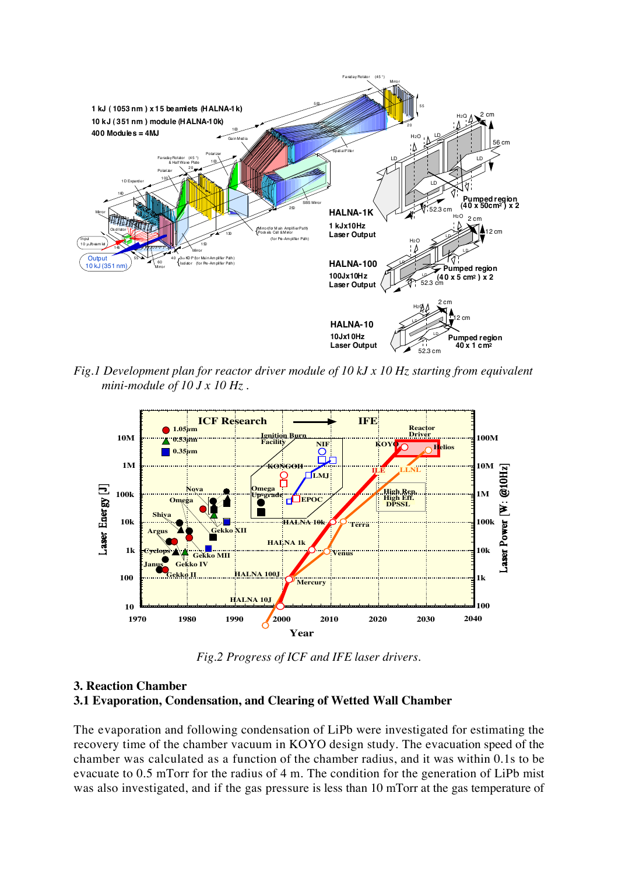

*Fig.1 Development plan for reactor driver module of 10 kJ x 10 Hz starting from equivalent mini-module of 10 J x 10 Hz .*



*Fig.2 Progress of ICF and IFE laser drivers.*

#### **3. Reaction Chamber 3.1 Evaporation, Condensation, and Clearing of Wetted Wall Chamber**

The evaporation and following condensation of LiPb were investigated for estimating the recovery time of the chamber vacuum in KOYO design study. The evacuation speed of the chamber was calculated as a function of the chamber radius, and it was within 0.1s to be evacuate to 0.5 mTorr for the radius of 4 m. The condition for the generation of LiPb mist was also investigated, and if the gas pressure is less than 10 mTorr at the gas temperature of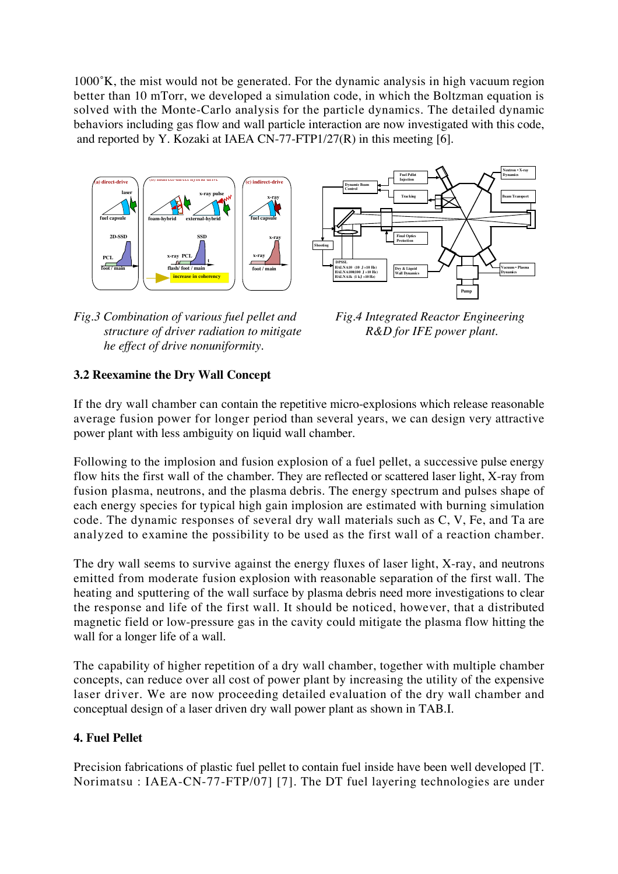1000˚K, the mist would not be generated. For the dynamic analysis in high vacuum region better than 10 mTorr, we developed a simulation code, in which the Boltzman equation is solved with the Monte-Carlo analysis for the particle dynamics. The detailed dynamic behaviors including gas flow and wall particle interaction are now investigated with this code, and reported by Y. Kozaki at IAEA CN-77-FTP1/27(R) in this meeting [6].





*Fig.3 Combination of various fuel pellet and Fig.4 Integrated Reactor Engineering structure of driver radiation to mitigate R&D for IFE power plant. he effect of drive nonuniformity.*

## **3.2 Reexamine the Dry Wall Concept**

If the dry wall chamber can contain the repetitive micro-explosions which release reasonable average fusion power for longer period than several years, we can design very attractive power plant with less ambiguity on liquid wall chamber.

Following to the implosion and fusion explosion of a fuel pellet, a successive pulse energy flow hits the first wall of the chamber. They are reflected or scattered laser light, X-ray from fusion plasma, neutrons, and the plasma debris. The energy spectrum and pulses shape of each energy species for typical high gain implosion are estimated with burning simulation code. The dynamic responses of several dry wall materials such as C, V, Fe, and Ta are analyzed to examine the possibility to be used as the first wall of a reaction chamber.

The dry wall seems to survive against the energy fluxes of laser light, X-ray, and neutrons emitted from moderate fusion explosion with reasonable separation of the first wall. The heating and sputtering of the wall surface by plasma debris need more investigations to clear the response and life of the first wall. It should be noticed, however, that a distributed magnetic field or low-pressure gas in the cavity could mitigate the plasma flow hitting the wall for a longer life of a wall.

The capability of higher repetition of a dry wall chamber, together with multiple chamber concepts, can reduce over all cost of power plant by increasing the utility of the expensive laser driver. We are now proceeding detailed evaluation of the dry wall chamber and conceptual design of a laser driven dry wall power plant as shown in TAB.I.

## **4. Fuel Pellet**

Precision fabrications of plastic fuel pellet to contain fuel inside have been well developed [T. Norimatsu : IAEA-CN-77-FTP/07] [7]. The DT fuel layering technologies are under